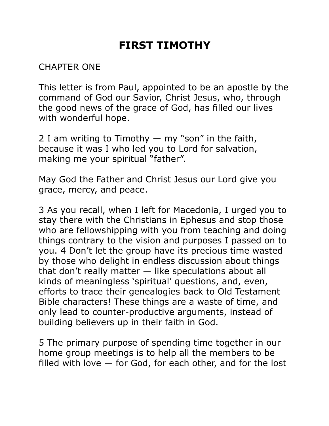# **FIRST TIMOTHY**

## CHAPTER ONE

This letter is from Paul, appointed to be an apostle by the command of God our Savior, Christ Jesus, who, through the good news of the grace of God, has filled our lives with wonderful hope.

2 I am writing to Timothy  $-$  my "son" in the faith, because it was I who led you to Lord for salvation, making me your spiritual "father".

May God the Father and Christ Jesus our Lord give you grace, mercy, and peace.

3 As you recall, when I left for Macedonia, I urged you to stay there with the Christians in Ephesus and stop those who are fellowshipping with you from teaching and doing things contrary to the vision and purposes I passed on to you. 4 Don't let the group have its precious time wasted by those who delight in endless discussion about things that don't really matter — like speculations about all kinds of meaningless 'spiritual' questions, and, even, efforts to trace their genealogies back to Old Testament Bible characters! These things are a waste of time, and only lead to counter-productive arguments, instead of building believers up in their faith in God.

5 The primary purpose of spending time together in our home group meetings is to help all the members to be filled with love — for God, for each other, and for the lost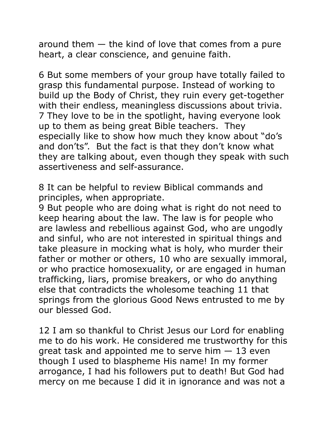around them — the kind of love that comes from a pure heart, a clear conscience, and genuine faith.

6 But some members of your group have totally failed to grasp this fundamental purpose. Instead of working to build up the Body of Christ, they ruin every get-together with their endless, meaningless discussions about trivia. 7 They love to be in the spotlight, having everyone look up to them as being great Bible teachers. They especially like to show how much they know about "do's and don'ts". But the fact is that they don't know what they are talking about, even though they speak with such assertiveness and self-assurance.

8 It can be helpful to review Biblical commands and principles, when appropriate.

9 But people who are doing what is right do not need to keep hearing about the law. The law is for people who are lawless and rebellious against God, who are ungodly and sinful, who are not interested in spiritual things and take pleasure in mocking what is holy, who murder their father or mother or others, 10 who are sexually immoral, or who practice homosexuality, or are engaged in human trafficking, liars, promise breakers, or who do anything else that contradicts the wholesome teaching 11 that springs from the glorious Good News entrusted to me by our blessed God.

12 I am so thankful to Christ Jesus our Lord for enabling me to do his work. He considered me trustworthy for this great task and appointed me to serve him  $-13$  even though I used to blaspheme His name! In my former arrogance, I had his followers put to death! But God had mercy on me because I did it in ignorance and was not a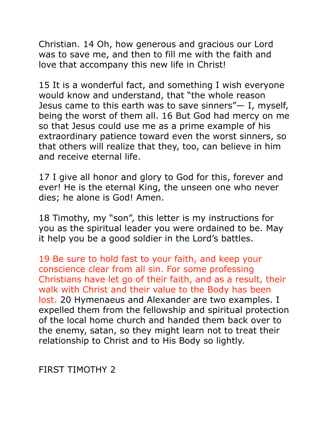Christian. 14 Oh, how generous and gracious our Lord was to save me, and then to fill me with the faith and love that accompany this new life in Christ!

15 It is a wonderful fact, and something I wish everyone would know and understand, that "the whole reason Jesus came to this earth was to save sinners"— I, myself, being the worst of them all. 16 But God had mercy on me so that Jesus could use me as a prime example of his extraordinary patience toward even the worst sinners, so that others will realize that they, too, can believe in him and receive eternal life.

17 I give all honor and glory to God for this, forever and ever! He is the eternal King, the unseen one who never dies; he alone is God! Amen.

18 Timothy, my "son", this letter is my instructions for you as the spiritual leader you were ordained to be. May it help you be a good soldier in the Lord's battles.

19 Be sure to hold fast to your faith, and keep your conscience clear from all sin. For some professing Christians have let go of their faith, and as a result, their walk with Christ and their value to the Body has been lost. 20 Hymenaeus and Alexander are two examples. I expelled them from the fellowship and spiritual protection of the local home church and handed them back over to the enemy, satan, so they might learn not to treat their relationship to Christ and to His Body so lightly.

FIRST TIMOTHY 2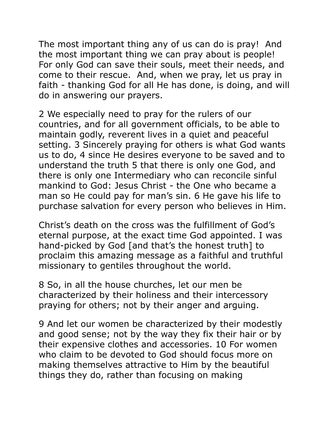The most important thing any of us can do is pray! And the most important thing we can pray about is people! For only God can save their souls, meet their needs, and come to their rescue. And, when we pray, let us pray in faith - thanking God for all He has done, is doing, and will do in answering our prayers.

2 We especially need to pray for the rulers of our countries, and for all government officials, to be able to maintain godly, reverent lives in a quiet and peaceful setting. 3 Sincerely praying for others is what God wants us to do, 4 since He desires everyone to be saved and to understand the truth 5 that there is only one God, and there is only one Intermediary who can reconcile sinful mankind to God: Jesus Christ - the One who became a man so He could pay for man's sin. 6 He gave his life to purchase salvation for every person who believes in Him.

Christ's death on the cross was the fulfillment of God's eternal purpose, at the exact time God appointed. I was hand-picked by God [and that's the honest truth] to proclaim this amazing message as a faithful and truthful missionary to gentiles throughout the world.

8 So, in all the house churches, let our men be characterized by their holiness and their intercessory praying for others; not by their anger and arguing.

9 And let our women be characterized by their modestly and good sense; not by the way they fix their hair or by their expensive clothes and accessories. 10 For women who claim to be devoted to God should focus more on making themselves attractive to Him by the beautiful things they do, rather than focusing on making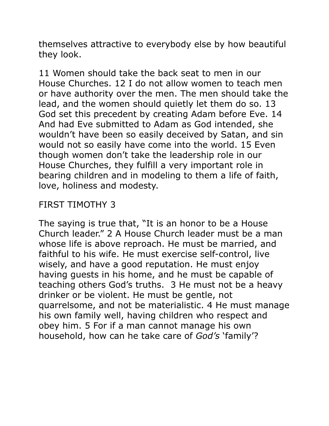themselves attractive to everybody else by how beautiful they look.

11 Women should take the back seat to men in our House Churches. 12 I do not allow women to teach men or have authority over the men. The men should take the lead, and the women should quietly let them do so. 13 God set this precedent by creating Adam before Eve. 14 And had Eve submitted to Adam as God intended, she wouldn't have been so easily deceived by Satan, and sin would not so easily have come into the world. 15 Even though women don't take the leadership role in our House Churches, they fulfill a very important role in bearing children and in modeling to them a life of faith, love, holiness and modesty.

## FIRST TIMOTHY 3

The saying is true that, "It is an honor to be a House Church leader." 2 A House Church leader must be a man whose life is above reproach. He must be married, and faithful to his wife. He must exercise self-control, live wisely, and have a good reputation. He must enjoy having guests in his home, and he must be capable of teaching others God's truths. 3 He must not be a heavy drinker or be violent. He must be gentle, not quarrelsome, and not be materialistic. 4 He must manage his own family well, having children who respect and obey him. 5 For if a man cannot manage his own household, how can he take care of *God's* 'family'?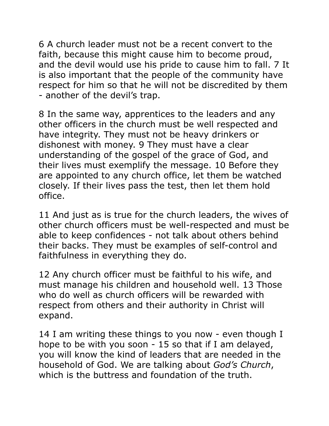6 A church leader must not be a recent convert to the faith, because this might cause him to become proud, and the devil would use his pride to cause him to fall. 7 It is also important that the people of the community have respect for him so that he will not be discredited by them - another of the devil's trap.

8 In the same way, apprentices to the leaders and any other officers in the church must be well respected and have integrity. They must not be heavy drinkers or dishonest with money. 9 They must have a clear understanding of the gospel of the grace of God, and their lives must exemplify the message. 10 Before they are appointed to any church office, let them be watched closely. If their lives pass the test, then let them hold office.

11 And just as is true for the church leaders, the wives of other church officers must be well-respected and must be able to keep confidences - not talk about others behind their backs. They must be examples of self-control and faithfulness in everything they do.

12 Any church officer must be faithful to his wife, and must manage his children and household well. 13 Those who do well as church officers will be rewarded with respect from others and their authority in Christ will expand.

14 I am writing these things to you now - even though I hope to be with you soon - 15 so that if I am delayed, you will know the kind of leaders that are needed in the household of God. We are talking about *God's Church*, which is the buttress and foundation of the truth.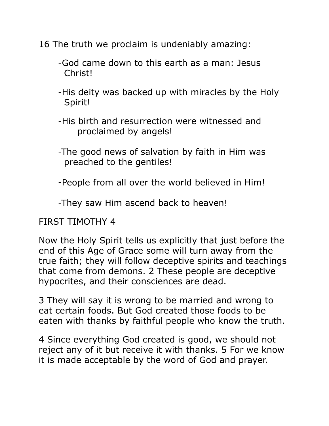16 The truth we proclaim is undeniably amazing:

- -God came down to this earth as a man: Jesus Christ!
- -His deity was backed up with miracles by the Holy Spirit!
- -His birth and resurrection were witnessed and proclaimed by angels!
- -The good news of salvation by faith in Him was preached to the gentiles!
- -People from all over the world believed in Him!

-They saw Him ascend back to heaven!

### FIRST TIMOTHY 4

Now the Holy Spirit tells us explicitly that just before the end of this Age of Grace some will turn away from the true faith; they will follow deceptive spirits and teachings that come from demons. 2 These people are deceptive hypocrites, and their consciences are dead.

3 They will say it is wrong to be married and wrong to eat certain foods. But God created those foods to be eaten with thanks by faithful people who know the truth.

4 Since everything God created is good, we should not reject any of it but receive it with thanks. 5 For we know it is made acceptable by the word of God and prayer.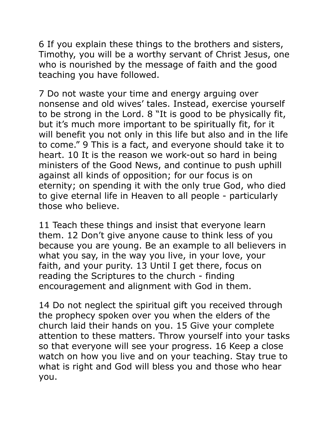6 If you explain these things to the brothers and sisters, Timothy, you will be a worthy servant of Christ Jesus, one who is nourished by the message of faith and the good teaching you have followed.

7 Do not waste your time and energy arguing over nonsense and old wives' tales. Instead, exercise yourself to be strong in the Lord. 8 "It is good to be physically fit, but it's much more important to be spiritually fit, for it will benefit you not only in this life but also and in the life to come." 9 This is a fact, and everyone should take it to heart. 10 It is the reason we work-out so hard in being ministers of the Good News, and continue to push uphill against all kinds of opposition; for our focus is on eternity; on spending it with the only true God, who died to give eternal life in Heaven to all people - particularly those who believe.

11 Teach these things and insist that everyone learn them. 12 Don't give anyone cause to think less of you because you are young. Be an example to all believers in what you say, in the way you live, in your love, your faith, and your purity. 13 Until I get there, focus on reading the Scriptures to the church - finding encouragement and alignment with God in them.

14 Do not neglect the spiritual gift you received through the prophecy spoken over you when the elders of the church laid their hands on you. 15 Give your complete attention to these matters. Throw yourself into your tasks so that everyone will see your progress. 16 Keep a close watch on how you live and on your teaching. Stay true to what is right and God will bless you and those who hear you.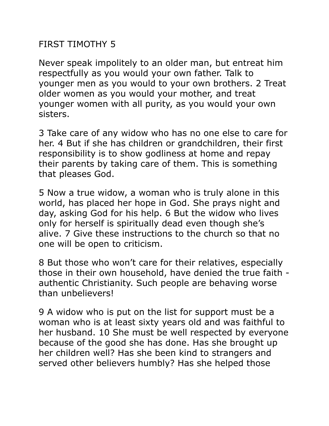## FIRST TIMOTHY 5

Never speak impolitely to an older man, but entreat him respectfully as you would your own father. Talk to younger men as you would to your own brothers. 2 Treat older women as you would your mother, and treat younger women with all purity, as you would your own sisters.

3 Take care of any widow who has no one else to care for her. 4 But if she has children or grandchildren, their first responsibility is to show godliness at home and repay their parents by taking care of them. This is something that pleases God.

5 Now a true widow, a woman who is truly alone in this world, has placed her hope in God. She prays night and day, asking God for his help. 6 But the widow who lives only for herself is spiritually dead even though she's alive. 7 Give these instructions to the church so that no one will be open to criticism.

8 But those who won't care for their relatives, especially those in their own household, have denied the true faith authentic Christianity. Such people are behaving worse than unbelievers!

9 A widow who is put on the list for support must be a woman who is at least sixty years old and was faithful to her husband. 10 She must be well respected by everyone because of the good she has done. Has she brought up her children well? Has she been kind to strangers and served other believers humbly? Has she helped those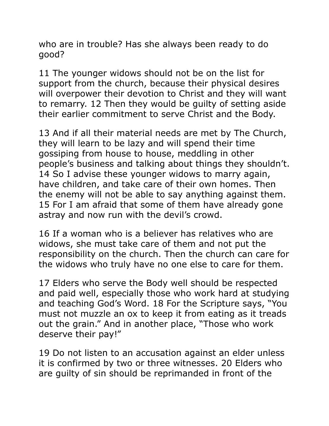who are in trouble? Has she always been ready to do good?

11 The younger widows should not be on the list for support from the church, because their physical desires will overpower their devotion to Christ and they will want to remarry. 12 Then they would be guilty of setting aside their earlier commitment to serve Christ and the Body.

13 And if all their material needs are met by The Church, they will learn to be lazy and will spend their time gossiping from house to house, meddling in other people's business and talking about things they shouldn't. 14 So I advise these younger widows to marry again, have children, and take care of their own homes. Then the enemy will not be able to say anything against them. 15 For I am afraid that some of them have already gone astray and now run with the devil's crowd.

16 If a woman who is a believer has relatives who are widows, she must take care of them and not put the responsibility on the church. Then the church can care for the widows who truly have no one else to care for them.

17 Elders who serve the Body well should be respected and paid well, especially those who work hard at studying and teaching God's Word. 18 For the Scripture says, "You must not muzzle an ox to keep it from eating as it treads out the grain." And in another place, "Those who work deserve their pay!"

19 Do not listen to an accusation against an elder unless it is confirmed by two or three witnesses. 20 Elders who are guilty of sin should be reprimanded in front of the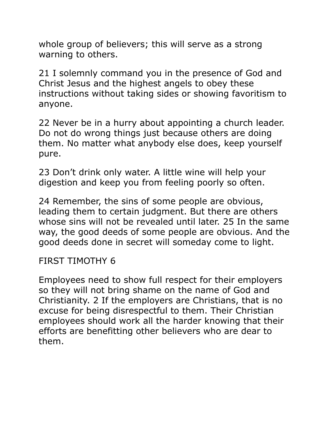whole group of believers; this will serve as a strong warning to others.

21 I solemnly command you in the presence of God and Christ Jesus and the highest angels to obey these instructions without taking sides or showing favoritism to anyone.

22 Never be in a hurry about appointing a church leader. Do not do wrong things just because others are doing them. No matter what anybody else does, keep yourself pure.

23 Don't drink only water. A little wine will help your digestion and keep you from feeling poorly so often.

24 Remember, the sins of some people are obvious, leading them to certain judgment. But there are others whose sins will not be revealed until later. 25 In the same way, the good deeds of some people are obvious. And the good deeds done in secret will someday come to light.

#### FIRST TIMOTHY 6

Employees need to show full respect for their employers so they will not bring shame on the name of God and Christianity. 2 If the employers are Christians, that is no excuse for being disrespectful to them. Their Christian employees should work all the harder knowing that their efforts are benefitting other believers who are dear to them.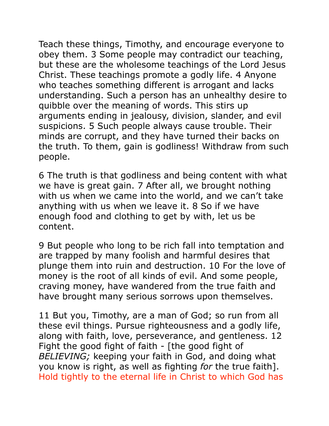Teach these things, Timothy, and encourage everyone to obey them. 3 Some people may contradict our teaching, but these are the wholesome teachings of the Lord Jesus Christ. These teachings promote a godly life. 4 Anyone who teaches something different is arrogant and lacks understanding. Such a person has an unhealthy desire to quibble over the meaning of words. This stirs up arguments ending in jealousy, division, slander, and evil suspicions. 5 Such people always cause trouble. Their minds are corrupt, and they have turned their backs on the truth. To them, gain is godliness! Withdraw from such people.

6 The truth is that godliness and being content with what we have is great gain. 7 After all, we brought nothing with us when we came into the world, and we can't take anything with us when we leave it. 8 So if we have enough food and clothing to get by with, let us be content.

9 But people who long to be rich fall into temptation and are trapped by many foolish and harmful desires that plunge them into ruin and destruction. 10 For the love of money is the root of all kinds of evil. And some people, craving money, have wandered from the true faith and have brought many serious sorrows upon themselves.

11 But you, Timothy, are a man of God; so run from all these evil things. Pursue righteousness and a godly life, along with faith, love, perseverance, and gentleness. 12 Fight the good fight of faith - [the good fight of *BELIEVING;* keeping your faith in God, and doing what you know is right, as well as fighting *for* the true faith]. Hold tightly to the eternal life in Christ to which God has